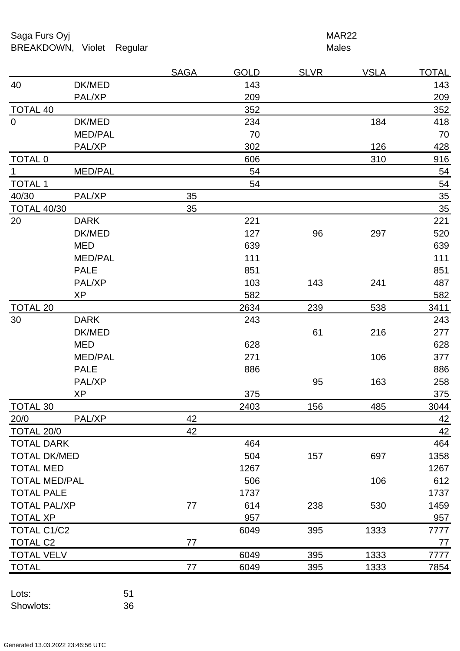Saga Furs Oyj and the Saga Furs Oyj and the Saga Furs of the MAR22 BREAKDOWN, Violet Regular Males

|                      |                | <b>SAGA</b> | <b>GOLD</b> | <b>SLVR</b> | <b>VSLA</b> | <b>TOTAL</b> |
|----------------------|----------------|-------------|-------------|-------------|-------------|--------------|
| 40                   | DK/MED         |             | 143         |             |             | 143          |
|                      | PAL/XP         |             | 209         |             |             | 209          |
| <b>TOTAL 40</b>      |                |             | 352         |             |             | 352          |
| $\mathbf 0$          | DK/MED         |             | 234         |             | 184         | 418          |
|                      | <b>MED/PAL</b> |             | 70          |             |             | 70           |
|                      | PAL/XP         |             | 302         |             | 126         | 428          |
| <b>TOTAL 0</b>       |                |             | 606         |             | 310         | 916          |
| $\mathbf 1$          | <b>MED/PAL</b> |             | 54          |             |             | 54           |
| <b>TOTAL 1</b>       |                |             | 54          |             |             | 54           |
| 40/30                | PAL/XP         | 35          |             |             |             | 35           |
| <b>TOTAL 40/30</b>   |                | 35          |             |             |             | 35           |
| 20                   | <b>DARK</b>    |             | 221         |             |             | 221          |
|                      | DK/MED         |             | 127         | 96          | 297         | 520          |
|                      | <b>MED</b>     |             | 639         |             |             | 639          |
|                      | <b>MED/PAL</b> |             | 111         |             |             | 111          |
|                      | <b>PALE</b>    |             | 851         |             |             | 851          |
|                      | PAL/XP         |             | 103         | 143         | 241         | 487          |
|                      | <b>XP</b>      |             | 582         |             |             | 582          |
| <b>TOTAL 20</b>      |                |             | 2634        | 239         | 538         | 3411         |
| 30                   | <b>DARK</b>    |             | 243         |             |             | 243          |
|                      | DK/MED         |             |             | 61          | 216         | 277          |
|                      | <b>MED</b>     |             | 628         |             |             | 628          |
|                      | <b>MED/PAL</b> |             | 271         |             | 106         | 377          |
|                      | <b>PALE</b>    |             | 886         |             |             | 886          |
|                      | PAL/XP         |             |             | 95          | 163         | 258          |
|                      | <b>XP</b>      |             | 375         |             |             | 375          |
| <b>TOTAL 30</b>      |                |             | 2403        | 156         | 485         | 3044         |
| 20/0                 | PAL/XP         | 42          |             |             |             | 42           |
| TOTAL 20/0           |                | 42          |             |             |             | 42           |
| <b>TOTAL DARK</b>    |                |             | 464         |             |             | 464          |
| <b>TOTAL DK/MED</b>  |                |             | 504         | 157         | 697         | 1358         |
| <b>TOTAL MED</b>     |                |             | 1267        |             |             | 1267         |
| <b>TOTAL MED/PAL</b> |                |             | 506         |             | 106         | 612          |
| <b>TOTAL PALE</b>    |                |             | 1737        |             |             | 1737         |
| <b>TOTAL PAL/XP</b>  |                | 77          | 614         | 238         | 530         | 1459         |
| <b>TOTAL XP</b>      |                |             | 957         |             |             | 957          |
| <b>TOTAL C1/C2</b>   |                |             | 6049        | 395         | 1333        | 7777         |
| <b>TOTAL C2</b>      |                | 77          |             |             |             | 77           |
| <b>TOTAL VELV</b>    |                |             | 6049        | 395         | 1333        | 7777         |
| <b>TOTAL</b>         |                | 77          | 6049        | 395         | 1333        | 7854         |
|                      |                |             |             |             |             |              |

Lots: 51 Showlots: 36